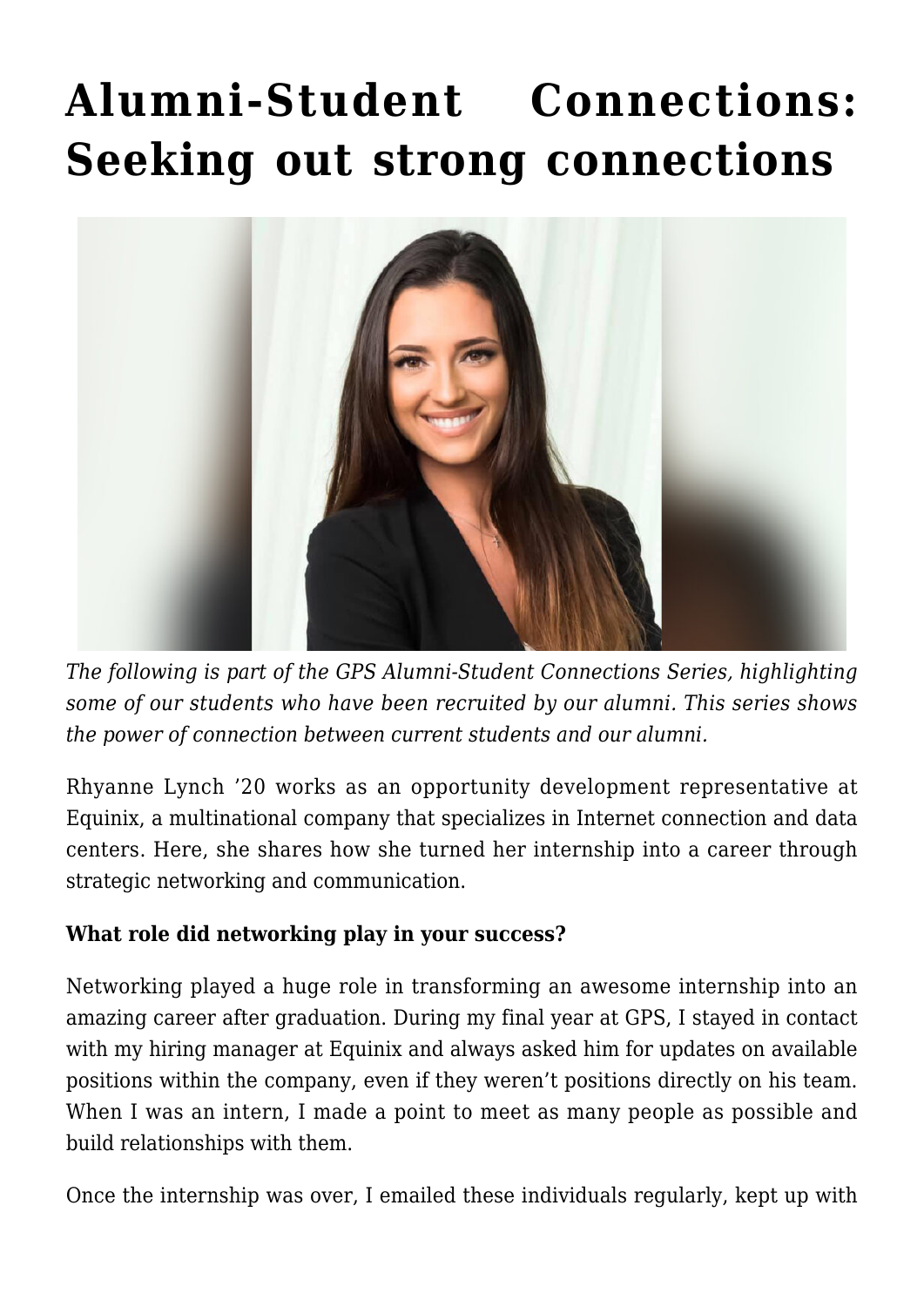## **[Alumni-Student Connections:](https://gpsnews.ucsd.edu/alumni-student-connections-seeking-out-strong-connections/) [Seeking out strong connections](https://gpsnews.ucsd.edu/alumni-student-connections-seeking-out-strong-connections/)**



*The following is part of the GPS Alumni-Student Connections Series, highlighting some of our students who have been recruited by our alumni. This series shows the power of connection between current students and our alumni.*

Rhyanne Lynch '20 works as an opportunity development representative at Equinix, a multinational company that specializes in Internet connection and data centers. Here, she shares how she turned her internship into a career through strategic networking and communication.

## **What role did networking play in your success?**

Networking played a huge role in transforming an awesome internship into an amazing career after graduation. During my final year at GPS, I stayed in contact with my hiring manager at Equinix and always asked him for updates on available positions within the company, even if they weren't positions directly on his team. When I was an intern, I made a point to meet as many people as possible and build relationships with them.

Once the internship was over, I emailed these individuals regularly, kept up with